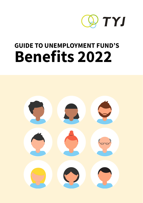

# **GUIDE TO UNEMPLOYMENT FUND'S Benefits 2022**

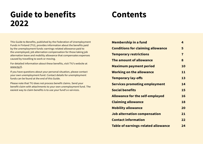# **Guide to benefits 2022**

# **Contents**

This Guide to Benefits, published by the Federation of Unemployment Funds in Finland (TYJ), provides information about the benefits paid by the unemployment funds: earnings-related allowance paid to the unemployed, job alternation compensation for those taking job alternation leave and mobility allowance that compensates expenses caused by travelling to work or moving.

For detailed information about these benefits, visit TYJ's website at [www.tyj.fi](http://www.tyj.fi).

If you have questions about your personal situation, please contact your own unemployment fund. Contact details for unemployment funds can be found at the end of this Guide.

Please note that TYJ does not process benefit claims. Send your benefit claim with attachments to your own unemployment fund. The easiest way to claim benefits is to use your fund's e-services.

| <b>Membership in a fund</b>                | 4                       |
|--------------------------------------------|-------------------------|
| <b>Conditions for claiming allowance</b>   | 5                       |
| <b>Temporary restrictions</b>              | $\overline{\mathbf{7}}$ |
| The amount of allowance                    | 8                       |
| <b>Maximum payment period</b>              | 10                      |
| <b>Working on the allowance</b>            | 11                      |
| <b>Temporary lay-offs</b>                  | 13                      |
| <b>Services promoting employment</b>       | 14                      |
| <b>Social benefits</b>                     | 15                      |
| <b>Allowance for the self-employed</b>     | 16                      |
| <b>Claiming allowance</b>                  | 18                      |
| <b>Mobility allowance</b>                  | 20                      |
| <b>Job alternation compensation</b>        | 21                      |
| <b>Contact information</b>                 | 22                      |
| <b>Table of earnings-related allowance</b> | 24                      |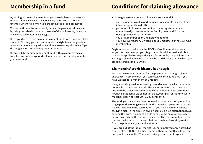By joining an unemployment fund you are eligible for an earningsrelated allowance based on your salary level. You can join an unemployment fund when you are employed or self-employed.

You can estimate the amount of your earnings-related allowance by using the table included at the end of this Guide or by using the allowance calculator at [www.tyj.fi](http://www.tyj.fi).

It is a good idea to join an unemployment fund even if you are still a student. This way you can accumulate the right to earnings-related allowance before you graduate and receive earning allowance if you do not get a job immediately after graduation.

If you switch your unemployment fund within a month, you can transfer any previous periods of membership and employment to your new fund.

### <span id="page-2-0"></span>**Membership in a fund Conditions for claiming allowance**

You can get earnings-related allowance from a fund if:

- you are unemployed in part or in full (for example in a part-time job or temporarily laid-off)
- you seek full-time employment and have registered as an unemployed job seeker with the Employment and Economic Development Office (TE Office);
- you are a member of an unemployment fund;
- you have worked for 26 weeks (about 6 months) during your fund membership.

Register as a job-seeker via the TE Office's online service as soon as you become unemployed. Registration is valid immediately, but cannot be applied retrospectively to, for example, the previous day. Earnings-related allowance can only be paid during days in which you are registered at the TE Office.

### **Six months' work history is enough**

Working 26 weeks is required for the payment of earnings-related allowance. In other words, you can receive earnings-related if you have worked for a minimum of 6 months.

Here, a working week refers to any calendar week in which you have done at least 18 hours of work. The wages received must also be in line with the collective agreement. If your employment sector does not have a collective agreement in place, your pay for full-time work must have been at least EUR 1,283 per month.

The work you have done does not need to have been completed in a single period. Working weeks from the previous 2 years and 4 months may be included in the calculations. If you have been for example studying, sick, in the army, in civilian service, on job alternation leave, or been the primary carer of a child aged 3 years or younger, such periods will extend the period considered. The maximum time period that can be included in the calculations consists of working weeks from the previous 9 years and 4 months.

If you are out of the labour market (i.e. not employed or registered as a job-seeker with the TE office) for more than six months without an acceptable reason, the 26 weeks working requirement expires.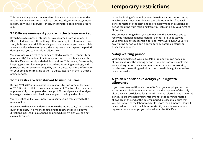<span id="page-3-0"></span>This means that you can only receive allowance once you have worked for another 26 weeks. Acceptable reasons include, for example, studies, military service, civil service, illness, or caring for a child under 3 years old.

#### **TE Office examines if you are in the labour market**

If you have a business or studies or have resigned from your job, TE Office will decide how these things affect your right to allowance. If you study full-time or work full-time in your own business, you can not claim allowance. If you have resigned, this may result in a suspension period during which you can not claim allowance.

You may lose your right to earnings-related allowance (temporarily or permanently) if you do not maintain your status as a job-seeker with the TE Office or comply with their instructions. This means, for example, keeping your employment plan up-to-date, attending meetings, and participating in services arranged by the TE Office. For more information on your obligations relating to the TE Office, please visit the TE Office's online service.

#### **Some tasks are transferred to munipalities**

During 2021-2023 municipalities are responsible for some of the tasks of TE Offices in a pilot to promote employment. The transfer of services applies mainly to people under the age of 30, immigrants and foreignlanguage speakers, who live in an area participating in the pilot.

Your TE Office will let you know if your services are transferred to the municipality.

Please note that it is mandatory to follow the municipality's instructions during the pilot. This means that failing to follow the municipality's directions may lead to a suspension period during which you can not claim allowance.

### **Temporary restrictions**

In the beginning of unemployment there is a waiting period during which you can not claim allowance. In addition to this, financial benefits related to the termination of employment or a suspension period resulting from resigning from your job can delay your right to allowance.

The periods during which you cannot claim the allowance due to receiving financial benefits (deferral periods) or due to leaving your employment (suspension periods) may overlap, but your fiveday waiting period will begin only after any possible deferral or suspension periods.

### **5-day waiting period**

Waiting period lasts 5 weekdays (Mon-Fri) and you can not claim allowance during the waiting period. If you are partially employed, your waiting period only accumulates when you are not working. In this case, the waiting period must accrue within eight successive calendar weeks.

#### **A golden handshake delays your right to allowance**

If you have received financial benefits from your employer, such as a payment equivalent to a 3-month salary, the payment of the daily allowance will be delayed for 3 months. This is referred to as a deferral period. In order to keep your entitlement to the earnings-related allowance at the end of the deferral period, please make sure that you are not out of the labour market for more than 6 months. You will be considered to be in the labour market if you are in work or have registered as an unemployed job-seeker at the TE Office.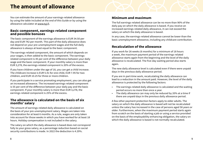### <span id="page-4-0"></span>**The amount of allowance**

You can estimate the amount of your earnings-related allowance by using the table included at the end of this Guide or by using the allowance calculator at [www.tyj.fi](http://www.tyj.fi).

#### **Basic component, earnings-related component and possible bonuses**

The basic component of the earnings allowance is EUR 34.50 per day and EUR 742 per month. This part of the daily allowance does not depend on your pre-unemployment wages and the full daily allowance is always at least equal to the basic component.

The earnings-related component, the amount of which depends on your wages, is then added to the basic component. The earningsrelated component is 45 per cent of the difference between your daily wage and the basic component. If your monthly salary is more than EUR 3,278, the earnings-related component is 20% of the excess.

If you have children under the age of 18, you can get a child increase. The childcare increase is EUR 5.41 for one child, EUR 7.95 for two children, and EUR 10.25 for three or more children.

If you participate in a service promoting employment, you can also get an increased allowance. The increased earnings-related component is 55 per cent of the difference between your daily pay and the basic component. If your monthly salary is more than EUR 3,278, the earnings-related component is 25% of the excess.

#### **The allowance is calculated on the basis of six months' salary**

The amount of earnings-related daily allowance is calculated on the basis of your pre-unemployment salary. Wages are taken into consideration for at least 6 months. As a rule, wages are only taken into account for those weeks in which you have worked for at least 18 hours. Holiday compensation is not included in the salary.

The salary on which the daily allowance is based does not correspond fully to your gross salary, as a percentage reduction based on social security contributions is made. In 2022 the deduction is 4.29%.

#### **Minimum and maximum**

The full earnings-related allowance can be no more than 90% of the daily pay on which the daily allowance is based. If you receive an increased earnings-related daily allowance, it can not exceed the salary on which the daily allowance is based.

In any case, the earnings-related allowance cannot be lower than the basic unemployment allowance, including any childcare contribution.

#### **Recalculation of the allowance**

If you work for 26 weeks (6 months) for a minimum of 18 hours a week, the maximum payment period of the earnings-related allowance starts again from the beginning and the level of the daily allowance is recalculated. The five-day waiting period also starts again.

The new daily allowance level is calculated even if there were unpaid days in the previous daily allowance period.

If you are in part-time work, recalculating the daily allowance can lead to a reduction in the amount paid. However, the level of the daily allowance is protected by the following factors:

- The earnings-related daily allowance is calculated and the waiting period occurs no more than once a year.
- The daily allowance can may only be reduced by 20% at a time if there are unpaid days in the previous daily allowance period.

A few other payment protection factors apply to older adults. The salary on which the daily allowance is based will not be recalculated unless the salary has increased in the case of persons aged 58 years or older. Furthermore, when the maximum payment period starts again from scratch on the basis of starting a job or using a service provided on the basis of the employability enhancing obligation, the salary on which the daily allowance is based is not normally recalculated.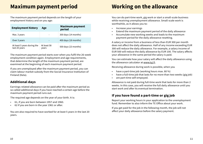### <span id="page-5-0"></span>**Maximum payment period Working on the allowance**

The maximum payment period depends on the length of your employment history and on you age:

| <b>Employment history</b>                    | Age                  | <b>Maximum payment</b><br>period |
|----------------------------------------------|----------------------|----------------------------------|
| Max. 3 years                                 |                      | 300 days (14 months)             |
| Over 3 years                                 |                      | 400 days (18 months)             |
| At least 5 years during the<br>last 20 years | At least 58<br>years | 500 days (23 months)             |

The maximum payment period starts over when you fulfil the 26-week employment condition again. Employment and age requirements, that determine the length of the maximum payment period, are examined at the beginning of each maximum payment period.

If you are unemployed after the maximum payment period, you can claim labour market subsidy from the Social Insurance Institution of Finland (Kela).

#### **Additional days**

Earnings-related allowance can be paid after the maximum period as so called additional days if you have reached a certain age before the maximum payment period runs out.

The required age depends on the year of your birth. It is:

- 61, if you are born between 1957 and 1960.
- 62 if you are born in the year 1961 or after.

You are also required to have worked for at least 5 years in the last 20 years.

You can do part-time work, gig work or start a small-scale business while receiving unemployment allowance. Small-scale work is worthwhile, as it allows you to:

- Increase your earnings
- Extend the maximum payment period of the daily allowance
- Accumulate new working weeks and leads to the maximum payment period for the daily allowance resetting.

A salary or income from a business of less than EUR 300 per month does not affect the daily allowance. Half of any income exceeding EUR 300 will reduce the daily allowance. For example, a salary income of EUR 500 will reduce the daily allowance by EUR 100. The salary affects your allowance in the same period the salary is paid.

You can estimate how your salary will affect the daily allowance using the allowance calculator at [www.tyj.fi.](http://www.tyj.fi)

Receiving allowance during work is possible, when you

- have a part-time job (working hours max. 80 %)
- have a full-time job that lasts for no more than two weeks (gig job)
- are part-time self-empoyed.

Allowance is not paid during full-time work that lasts for more than 2 weeks. In this case, you will receive the full daily allowance until you start work and after its eventual termination.

#### **If you have found a part-time or gig job**

Report your working hours in your application to the unemployment fund. Remember to also inform the TE Office about your work.

If you get paid for the job in the following month, the job will not affect your daily allowance before the salary payment.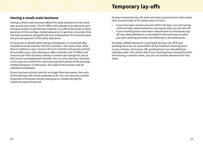#### <span id="page-6-0"></span>**Having a small-scale business**

Having a small-scale business affects the daily allowance in the same way as part-time work. The TE Office will evaluate how extensive your business activity is and decides whether it is sufficiently small to allow payment of the earnings-related allowance. In general, a business that has been practiced alongside full-time employment for 6 months does not prevent payment of the daily allowance.

If a business is started while being unemployed, it is automatically considered small-scale for the first 4 months. This means that, other than in relation to your income, the first 4 months of business activity do not affect your daily allowance. After 4 months, the TE Office will check to see if this business activity is small-scale enough for you to still receive unemployment benefits. You can only start your business in this way once within the maximum payment period of the earningsrelated allowance. In the future, the scale of the business will be checked immediately.

If your business activity lasts for no longer than two weeks, the scale of the business will not be evaluated at all. You can have any number of periods of business activity lasting up to 2 weeks during the maximum payment period.

### **Temporary lay-offs**

During a temporary lay-off, work and salary payments are interrupted until a certain date or for certain days or hours.

- If you have been temporarily laid-off for full days, you will receive a full earnings-related allowance during the days you are laid-off.
- If your working hours have been reduced due to a temporary layoff, your daily allowance is calculated in the same way as when you were working part-time (see Working on the allowance).

Earnings-related allowance can be paid during a lay-off if your working hours do not exceed 80% of the maximum working hours in your industry. During lay-offs working hours are calculated per calendar week. This means that if your working hours exceed the 80% limit during a calendar week, you can not receive allowance for that week.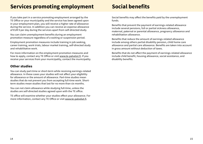### <span id="page-7-0"></span>**Services promoting employment Social benefits**

If you take part in a service promoting employment arranged by the TE Office or your municipality and the service has been agreed upon in your employment plan, you will receive a higher rate of allowance during the service. In addition you can receive an expense allowance of EUR 9 per day during the services apart from self-directed study.

You can claim unemployment benefits during an employment promotion measure regardless of a waiting or suspension period.

Employment promotion measures include training in job seeking, career training, work trials, labour market training, self-directed study and rehabilitative work.

For more information on the employment promotion measures and how to apply, contact any TE Office or visit [www.te-palvelut.fi](http://www.te-palvelut.fi). If you receive your services from your municipality, contact the municipality.

#### **Other studies**

You can study part-time or short-term while receiving earnings-related allowance. In these cases your studies will not affect your eligibility for allowance or the amount of allowance. Part-time studies mean studies that do not prevent you from accepting full-time work. Shortterm studies mean studies that last for no more than six months.

You can not claim allowance while studying full-time, unless the studies are self-directed studies agreed upon with the TE office.

TE office will examine whether your studies effect your allowance. For more information, contact any TE Office or visit [www.te-palvelut.fi](http://www.te-palvelut.fi).

Social benefits may affect the benefits paid by the unemployment funds.

Benefits that prevent the payment of earnings-related allowance include several pensions, full or partial sickness allowance, maternal, paternal or parental allowance, pregnancy allowance and rehabilitation allowance.

Benefits that reduce the amount of earnings-related allowance include among others partial disability pension, child home care allowance and partial care allowance. Benefits are taken into account in gross amount without deduction of taxes.

Benefits that do not affect the payment of earnings-related allowance include child benefit, housing allowance, social assistance, and disability benefits.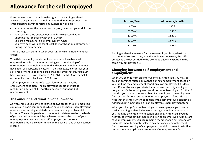### <span id="page-8-0"></span>**Allowance for the self-employed**

Entrepreneurs can accumulate the right to the earnings-related allowance by joining an unemployment fund for entrepreneurs. An entrepreneur's earnings-related allowance can be paid if

- you have ceased the business activity or you no longer work in the company;
- you seek full-time employment and have registered as an unemployed job seeker with the TE Office;
- you are a member of an unemployment fund;
- you have been working for at least 15 months as an entrepreneur during this membership.

The TE Office will examine when your full-time self-employment has ended.

To satisfy the employment condition, you must have been selfemployed for at least 15 months during your membership of an entrepreneurs' unemployment fund and your self-employment must have been of a substantial nature. In the year 2022, in order for your self-employment to be considered of a substantial nature, you must have taken out pension insurance (YEL; MYEL or TyEL) for yourself for an annual income of at least 13,573 euro.

Self-employment periods of at least four months meet the employment condition. The employment condition must be met during a period of 48 months preceding your period of unemployment.

#### **The amount and duration of allowance**

As with employees, earnings-related allowance for the self-employed consists of a basic component, which equals the basic unemployment allowance, an earnings-related component, and a possible child increase. The earnings-related component is determined on the basis of your earned income which you have chosen as the basis of your unemployment insurance as a self-employed person. Your membership fee is also determined on the basis of this chosen earned income.

| Income/Year | <b>Allowance/Month</b> |
|-------------|------------------------|
| 14 000 €    | 933€                   |
| 20 000 €    | $1158 \in$             |
| 30 000 €    | $1533 \in$             |
| 40 000 €    | 1894€                  |
| 50 000 €    | $2061 \in$             |

Earnings-related allowance for the self-employed is payable for a maximum of 300-500 days, as with employees. However, the selfemployed are not entitled to the extended allowance period in the same way employees are.

#### **Changing between self-employment and employment**

When you change from an employee to self-employed, you may be paid an earnings-related allowance during unemployment based on you fulfilling the employment condition as an employee, if it is less than 18 months since you started your business activity and if you do not yet satisfy the employment condition as self-employed. For the 18 months, you can remain a member of an employees' unemployment fund or transfer to an entrepreneurs' unemployment fund. Please note that the employment condition of the self-employed can not be fulfilled during membership in an employees' unemployment fund.

When you change from self-employed to an employee, you may be paid an earnings-related allowance during unemployment based on you fulfilling the employment condition as self-employed if you do not yet satisfy the employment condition as an employee. At the start of your employment, you can remain a member of an entrepreneurs' unemployment fund or transfer to an employees' unemployment fund. However, employee's employment condition can not be fulfilled during membership in an entrepreneurs' unemployment fund.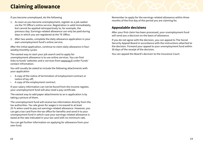## <span id="page-9-0"></span>**Claiming allowance**

If you become unemployed, do the following

- 1. As soon as you become unemployment, register as a job-seeker via the TE Office's online service. Registration is valid immediately, but cannot be applied retrospectively to, for example, the previous day. Earnings-related allowance can only be paid during days in which you are registered at the TE Office.
- 2. After two weeks, complete the daily allowance application in your own unemployment fund's online service.

After the initial application, continue to claim daily allowance in fourweekly/monthly cycles.

The easiest way to start your job search and to apply for unemployment allowance is to use online services. You can find links to funds' websites and e-services from [www.tyj.fi](http://www.tyj.fi) under Funds' contact infromation.

You will usually be asked to include the following attachments with your application

- A copy of the notice of termination of employment contract or notice of lay-off;
- A copy of the employment contract.

If your salary information can not be found from the income register, your unemployment fund will also need a pay certificate.

The easiest way to add paper attachments to an e-application is by taking a picture of them.

The unemployment fund will receive tax information directly from the tax authorities. Tax rate given for wages is increased to at least 25 % when used to pay out earnings-related allowance. However, you can get a tax card from the tax office for benefits and send it to your unempoyment fund in which case your earnings-related allowance is taxed at the rate indicated in your tax card with no minimum rate.

You can get further information on applying for allowance from your own fund.

Remember to apply for the earnings-related allowance within three months of the first day of the period you are claiming for.

### **Appealable decisions**

After your first claim has been processed, your unemployment fund will send you a decicion on the basis of allowance.

If you do not agree with the decision, you can appeal to The Social Security Appeal Board in accordance with the instructions attached to the decision. Forward your appeal to your unemployment fund within 30 days of the receipt of the decision.

You can appeal the Board's decision to the Insurance Court.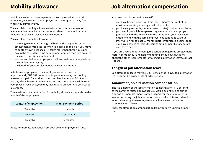## <span id="page-10-0"></span>**Mobility allowance**

Mobility allowance covers expenses caused by travelling to work or moving, when you are unemployed and take a job far away from where you currently live.

You can claim mobility allowance before the commencement of actual employment if you start training related to an employment relationship that will last at least two months.

You can claim mobility allowance, if:

- travelling to work or training and back at the beginning of the employment or training (or when you agree on the job if you move to another town because of it) takes more than three hours per day in the case of full-time employment or more than two hours in the case of part-time employment;
- you are entitled to unemployment allowance immediately before the employment begins;
- the length of your employment is at least two months.

In full-time employment, the mobility allowance is worth approximately EUR 742 per month. In part-time work, the mobility allowance is paid for working days completed at a rate of EUR 34.50 per day. If you have children or a job located more than 200 km from your place of residence, you may also receive an additional/increased allowance.

The maximum payment period for mobility allowance depends on the length of the employment:

| Length of employment | Max. payment period |
|----------------------|---------------------|
| 2 months             | 1 month             |
| 3 months             | 1,5 months          |
| 4 months             | 2 months            |

Apply for mobility allowance from your own unemployment fund.

### **Job alternation compensation**

You can take job alternation leave if:

- you have been working full-time (more than 75 per cent of the maximum working hours agreed for the sector);
- you have agreed with your employer to take job alternation leave;
- your employer will hire a person registered as an unemployed job seeker with the TE Office for the duration of your leave your employment with the same employer has continued without interruption for at least 13 months before your leave begins, and;
- you have accrued at least 20 years of employment history before your leave begins.

If you are unsure about meeting the condition regarding employment history, contact your unemployment fund. If you have questions about the other requirements for taking job alternation leave, contact a TE Office.

### **Length of job alternation leave**

Job alternation leave may last 100–180 calendar days. Job alternation leave cannot be divided into shorter periods.

#### **Amount of job alternation compensation**

The full amount of the job alternation compensation is 70 per cent of the earnings-related allowance you would be entitled to during a period of unemployment. Earned income for the minimum of 52 weeks preceding the job alternation leave is taken into consideration when calculating the earnings-related allowance on which the compensation is based.

Apply for alternation compenstation from your own unemployment fund.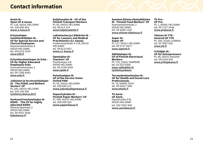### <span id="page-11-0"></span>**Contact information**

**Avoin tk - Open UF A-kassa** PL 116, 00531 HELSINKI tel. 020 690 455 **[www.a-kassa.fi](http://www.a-kassa.fi )** 

**Erityisalojen toimihenkilöiden tk - UF for Special Service and Clerical Employees** Asemamiehenkatu 4 00520 HELSINKI tel. 09 6132 3224 **[www.ettk.fi](http://www.ettk.fi)**

**Erityiskoulutettujen tk Erko - UF for Higher Educated Employees Erko** Asemamiehenkatu 2 00520 HELSINKI tel. 09 7206 4343

**[www.erko.fi](http://www.erko.fi)**

**Julkisten ja hyvinvointialojen tk - The Public and Welfare Sectors' UF** PL 100, 00531 HELSINKI tel. 010 190 300 **[tyottomyyskassa.jhl.fi](http://tyottomyyskassa.jhl.fi)**

**Korkeasti koulutettujen tk KOKO - The UF for highly educated KOKO** Ratavartijankatu 2 00520 HELSINKI

tel. 09 4763 7600 **[kokokassa.fi](http://kokokassa.fi)**

**Kuljetusalan tk - UF of the Finnish Transport Workers** PL 65, 00531 HELSINKI tel. 09 613 114 **[www.kuljetusalantk.fi](http://www.kuljetusalantk.fi)**

**Lakimiesten ja Lääkärien tk - UF for Lawyers and Medical Practitioners (LL-kassa)** Uudenmaankatu 4-6 B, 00120 HELSINKI tel. 09 6123 067 **[www.LL-kassa.fi](http://www.LL-kassa.fi)**

**Opettajien tk - Teachers' UF** Pasilankatu 4 B 00240 HELSINKI tel. 09 2294 4100 **[www.opetk.fi](http://www.opetk.fi)**

**Palvelualojen tk - UF of the Service Union United PAM** PL 93, 00531 HELSINKI tel. 020 690 211 **[www.palvelualojenkassa.fi](http://www.palvelualojenkassa.fi)**

**Paperityöväen tk - Finnish Paper Workers' UF** PL 349, 00531 HELSINKI tel. 020 690 429 **[www.paperikassa.fi](http://www.paperikassa.fi)**

**Suomen Elintarviketyöläisten tk - Finnish Food Workers' UF** Asemamiehenkatu 2 00520 HELSINKI tel. 09 4246 1210 **www.elintarvikekassa.fi**

**Super tk - Super UF** PL 117, 00521 HELSINKI tel. 09 2727 9377 **[www.supertk.fi](http://www.supertk.fi)**

**Sähköalojen tk - UF of Finnish Electriacal Workers** PL 774, 33101 TAMPERE tel. 03 252 0300 **[www.sahkoliitto.fi/](http://www.sahkoliitto.fi/tyottomyyskassa) [tyottomyyskassa](http://www.sahkoliitto.fi/tyottomyyskassa)**

**Terveydenhuoltoalan tk - UF for Health and Social Care Professionals** PL 70, 00060 TEHY tel. 09 5422 7300 **[www.tehytk.fi](http://www.tehytk.fi)**

**Tk Aaria - UF Aaria** Opastinsilta 8 B, 00520 HELSINKI tel. 020 7655 900 **[www.aariakassa.fi](http://www.aariakassa.fi)**  **Tk Pro - UF Pro** PL 1, 00581 HELSINKI tel. 09 1727 3444 **[www.prokassa.fi](http://www.prokassa.fi)**

**Yleinen tk YTK - General UF YTK** PL 100, 32201 LOIMAA tel. 02 7607 620 **[www.ytk.fi](http://www.ytk.fi)**

**Yrittäjän tk - UF for Entrepreneurs** PL 86, 00251 Helsinki tel. 09 6224 830 **www.yrittajakassa.fi**